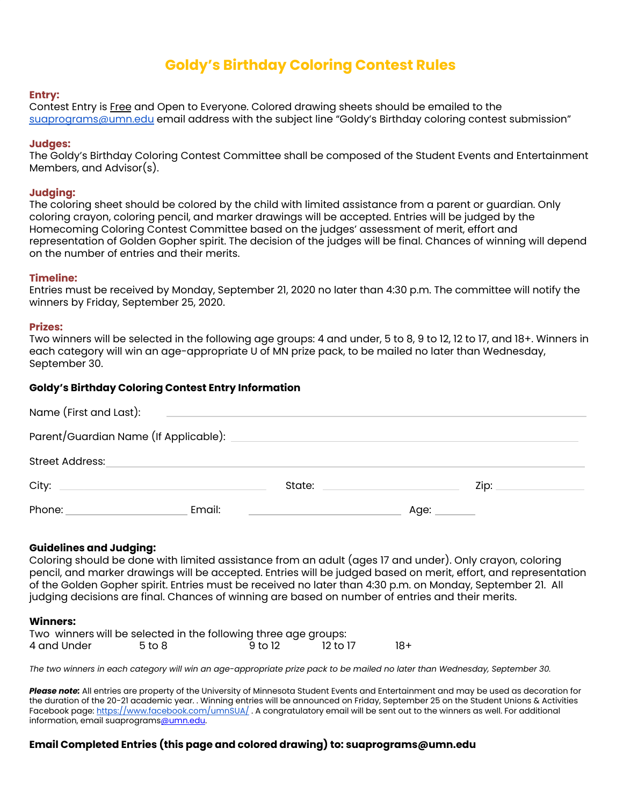# **Goldy's Birthday Coloring Contest Rules**

## **Entry:**

Contest Entry is Free and Open to Everyone. Colored drawing sheets should be emailed to the [suaprograms@umn.edu](mailto:suapb@umn.edu) email address with the subject line "Goldy's Birthday coloring contest submission"

## **Judges:**

The Goldy's Birthday Coloring Contest Committee shall be composed of the Student Events and Entertainment Members, and Advisor(s).

## **Judging:**

The coloring sheet should be colored by the child with limited assistance from a parent or guardian. Only coloring crayon, coloring pencil, and marker drawings will be accepted. Entries will be judged by the Homecoming Coloring Contest Committee based on the judges' assessment of merit, effort and representation of Golden Gopher spirit. The decision of the judges will be final. Chances of winning will depend on the number of entries and their merits.

## **Timeline:**

Entries must be received by Monday, September 21, 2020 no later than 4:30 p.m. The committee will notify the winners by Friday, September 25, 2020.

### **Prizes:**

Two winners will be selected in the following age groups: 4 and under, 5 to 8, 9 to 12, 12 to 17, and 18+. Winners in each category will win an age-appropriate U of MN prize pack, to be mailed no later than Wednesday, September 30.

## **Goldy's Birthday Coloring Contest Entry Information**

| Name (First and Last):                |        |                                                    |                                                                                                                                                                                                                                |      |
|---------------------------------------|--------|----------------------------------------------------|--------------------------------------------------------------------------------------------------------------------------------------------------------------------------------------------------------------------------------|------|
| Parent/Guardian Name (If Applicable): |        |                                                    |                                                                                                                                                                                                                                |      |
| <b>Street Address:</b>                |        |                                                    |                                                                                                                                                                                                                                |      |
| City: __________________________      |        |                                                    | State: the contract of the contract of the contract of the contract of the contract of the contract of the contract of the contract of the contract of the contract of the contract of the contract of the contract of the con | Zip: |
| Phone:                                | Email: | <u> 1980 - John Stein, Amerikaansk politiker (</u> | Age: _____                                                                                                                                                                                                                     |      |

## **Guidelines and Judging:**

Coloring should be done with limited assistance from an adult (ages 17 and under). Only crayon, coloring pencil, and marker drawings will be accepted. Entries will be judged based on merit, effort, and representation of the Golden Gopher spirit. Entries must be received no later than 4:30 p.m. on Monday, September 21. All judging decisions are final. Chances of winning are based on number of entries and their merits.

#### **Winners:**

|             |        | Two winners will be selected in the following three age groups: |          |     |
|-------------|--------|-----------------------------------------------------------------|----------|-----|
| 4 and Under | 5 to 8 | -9 to 12                                                        | 12 to 17 | 18+ |

The two winners in each category will win an age-appropriate prize pack to be mailed no later than Wednesday, September 30.

*Please note:* All entries are property of the University of Minnesota Student Events and Entertainment and may be used as decoration for the duration of the 20-21 academic year. . Winning entries will be announced on Friday, September 25 on the Student Unions & Activities Facebook page: <https://www.facebook.com/umnSUA/>. A congratulatory email will be sent out to the winners as well. For additional information, email suaprograms@umn.edu.

## **Email Completed Entries (this page and colored drawing) to: suaprograms@umn.edu**